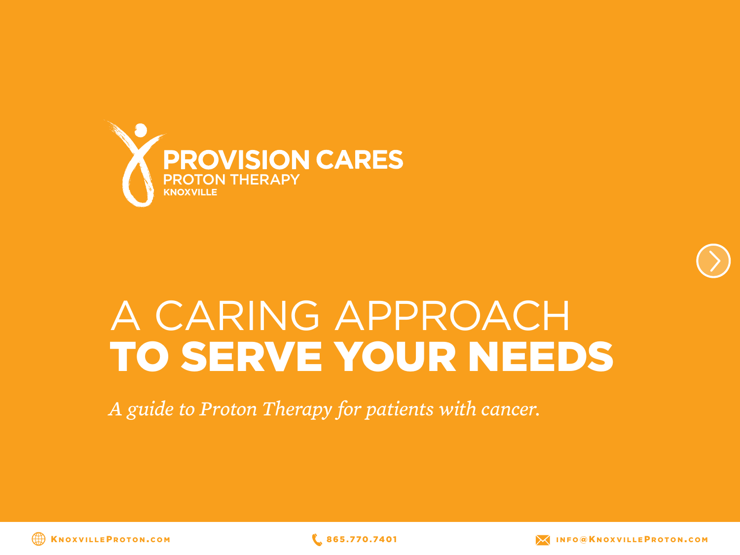



# A CARING APPROACH TO SERVE YOUR NEEDS

*A guide to Proton Therapy for patients with cancer.*



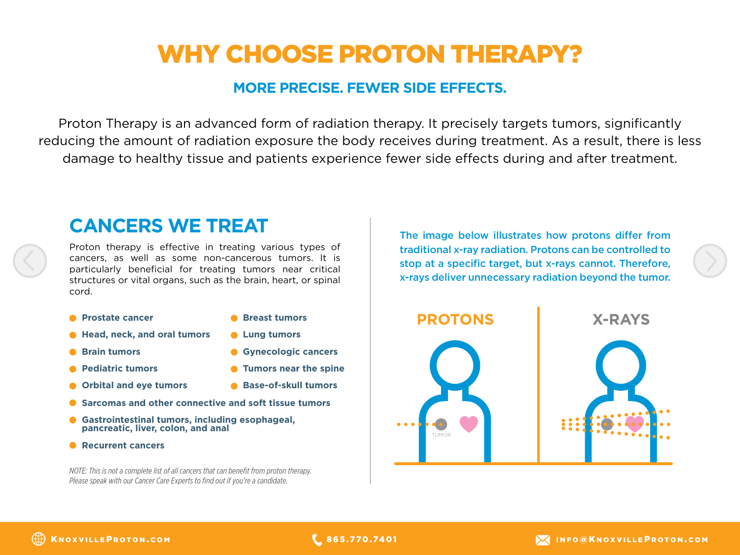## WHY CHOOSE PROTON THERAPY?

#### **MORE PRECISE. FEWER SIDE EFFECTS.**

Proton Therapy is an advanced form of radiation therapy. It precisely targets tumors, significantly reducing the amount of radiation exposure the body receives during treatment. As a result, there is less damage to healthy tissue and patients experience fewer side effects during and after treatment.

### **CANCERS WE TREAT**

Proton therapy is effective in treating various types of cancers, as well as some non-cancerous tumors. It is particularly beneficial for treating tumors near critical structures or vital organs, such as the brain, heart, or spinal cord.

**• Prostate cancer** 

**Breast tumors**

**Lung tumors**

- **Head, neck, and oral tumors**
	- **Gynecologic cancers**
- **Brain tumors**
- **Pediatric tumors**
- **Orbital and eye tumors**
- **Base-of-skull tumors**

**Tumors near the spine**

- **Sarcomas and other connective and soft tissue tumors**
- **Gastrointestinal tumors, including esophageal, pancreatic, liver, colon, and anal**
- **Recurrent cancers**

*NOTE: This is not a complete list of all cancers that can benefit from proton therapy. Please speak with our Cancer Care Experts to find out if you're a candidate.*

The image below illustrates how protons differ from traditional x-ray radiation. Protons can be controlled to stop at a specific target, but x-rays cannot. Therefore, x-rays deliver unnecessary radiation beyond the tumor.

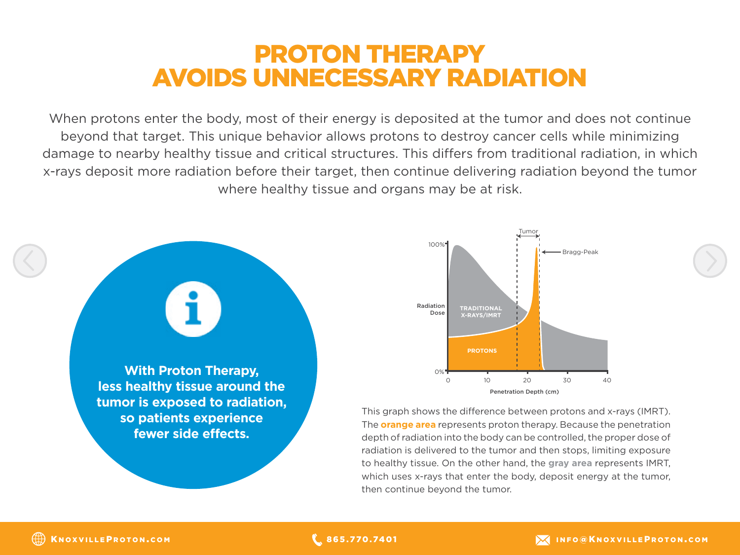### PROTON THERAPY AVOIDS UNNECESSARY RADIATION

When protons enter the body, most of their energy is deposited at the tumor and does not continue beyond that target. This unique behavior allows protons to destroy cancer cells while minimizing damage to nearby healthy tissue and critical structures. This differs from traditional radiation, in which x-rays deposit more radiation before their target, then continue delivering radiation beyond the tumor where healthy tissue and organs may be at risk.





This graph shows the difference between protons and x-rays (IMRT). The **orange area** represents proton therapy. Because the penetration depth of radiation into the body can be controlled, the proper dose of radiation is delivered to the tumor and then stops, limiting exposure to healthy tissue. On the other hand, the **gray area** represents IMRT, which uses x-rays that enter the body, deposit energy at the tumor, then continue beyond the tumor.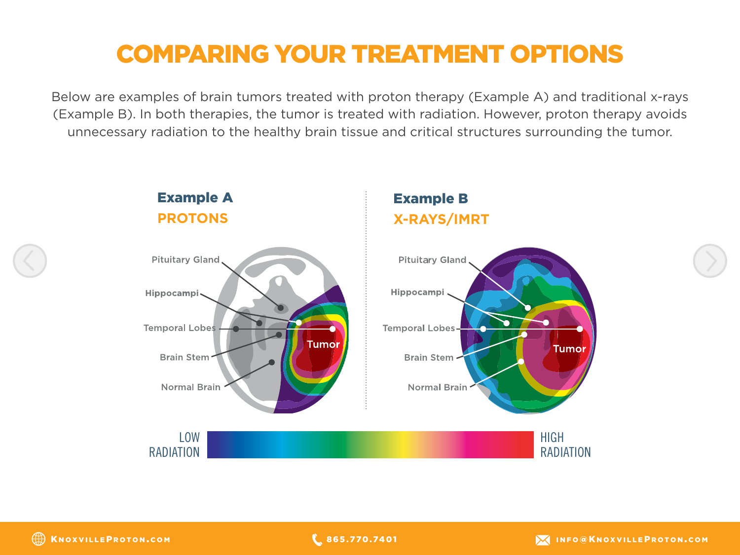# COMPARING YOUR TREATMENT OPTIONS

Below are examples of brain tumors treated with proton therapy (Example A) and traditional x-rays (Example B). In both therapies, the tumor is treated with radiation. However, proton therapy avoids unnecessary radiation to the healthy brain tissue and critical structures surrounding the tumor.

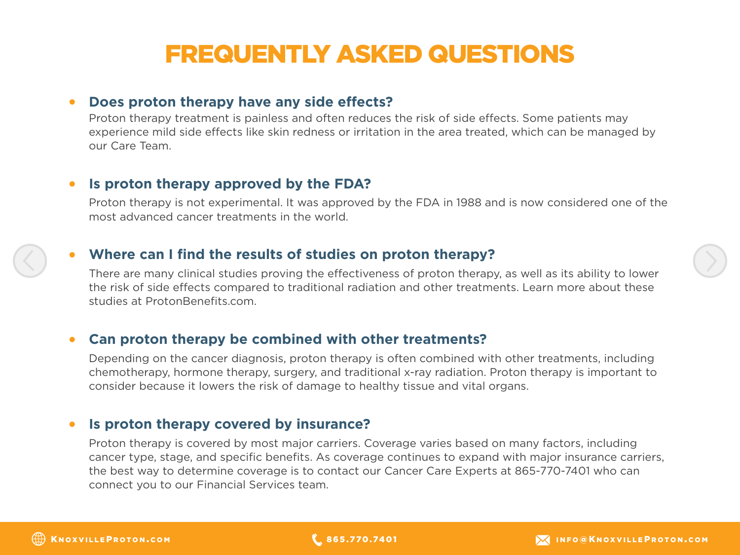## FREQUENTLY ASKED QUESTIONS

#### **Does proton therapy have any side effects?**

Proton therapy treatment is painless and often reduces the risk of side effects. Some patients may experience mild side effects like skin redness or irritation in the area treated, which can be managed by our Care Team.

#### **Is proton therapy approved by the FDA?**

Proton therapy is not experimental. It was approved by the FDA in 1988 and is now considered one of the most advanced cancer treatments in the world.

#### **Where can I find the results of studies on proton therapy?**

There are many clinical studies proving the effectiveness of proton therapy, as well as its ability to lower the risk of side effects compared to traditional radiation and other treatments. Learn more about these studies at ProtonBenefits.com.

#### **Can proton therapy be combined with other treatments?**  $\bullet$

Depending on the cancer diagnosis, proton therapy is often combined with other treatments, including chemotherapy, hormone therapy, surgery, and traditional x-ray radiation. Proton therapy is important to consider because it lowers the risk of damage to healthy tissue and vital organs.

#### **Is proton therapy covered by insurance?** $\bullet$

Proton therapy is covered by most major carriers. Coverage varies based on many factors, including cancer type, stage, and specific benefits. As coverage continues to expand with major insurance carriers, the best way to determine coverage is to contact our Cancer Care Experts at 865-770-7401 who can connect you to our Financial Services team.